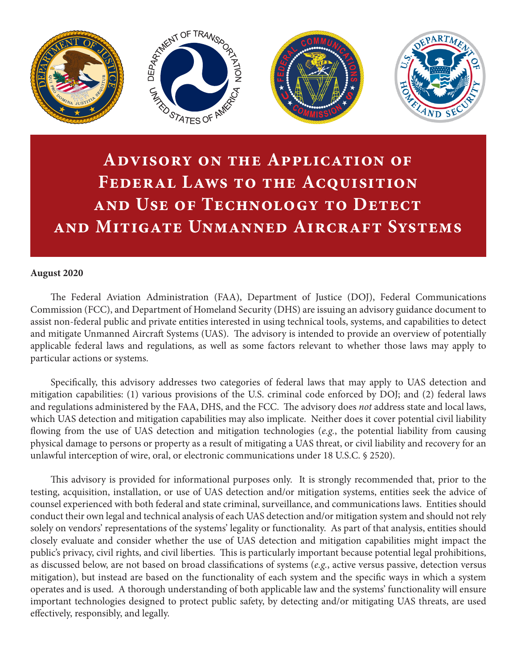

# **Advisory on the Application of Federal Laws to the Acquisition and Use of Technology to Detect and Mitigate Unmanned Aircraft Systems**

#### **August 2020**

The Federal Aviation Administration (FAA), Department of Justice (DOJ), Federal Communications Commission (FCC), and Department of Homeland Security (DHS) are issuing an advisory guidance document to assist non-federal public and private entities interested in using technical tools, systems, and capabilities to detect and mitigate Unmanned Aircraft Systems (UAS). The advisory is intended to provide an overview of potentially applicable federal laws and regulations, as well as some factors relevant to whether those laws may apply to particular actions or systems.

Specifically, this advisory addresses two categories of federal laws that may apply to UAS detection and mitigation capabilities: (1) various provisions of the U.S. criminal code enforced by DOJ; and (2) federal laws and regulations administered by the FAA, DHS, and the FCC. The advisory does *not* address state and local laws, which UAS detection and mitigation capabilities may also implicate. Neither does it cover potential civil liability flowing from the use of UAS detection and mitigation technologies (*e.g.*, the potential liability from causing physical damage to persons or property as a result of mitigating a UAS threat, or civil liability and recovery for an unlawful interception of wire, oral, or electronic communications under 18 U.S.C. § 2520).

This advisory is provided for informational purposes only. It is strongly recommended that, prior to the testing, acquisition, installation, or use of UAS detection and/or mitigation systems, entities seek the advice of counsel experienced with both federal and state criminal, surveillance, and communications laws. Entities should conduct their own legal and technical analysis of each UAS detection and/or mitigation system and should not rely solely on vendors' representations of the systems' legality or functionality. As part of that analysis, entities should closely evaluate and consider whether the use of UAS detection and mitigation capabilities might impact the public's privacy, civil rights, and civil liberties. This is particularly important because potential legal prohibitions, as discussed below, are not based on broad classifications of systems (*e.g.*, active versus passive, detection versus mitigation), but instead are based on the functionality of each system and the specific ways in which a system operates and is used. A thorough understanding of both applicable law and the systems' functionality will ensure important technologies designed to protect public safety, by detecting and/or mitigating UAS threats, are used effectively, responsibly, and legally.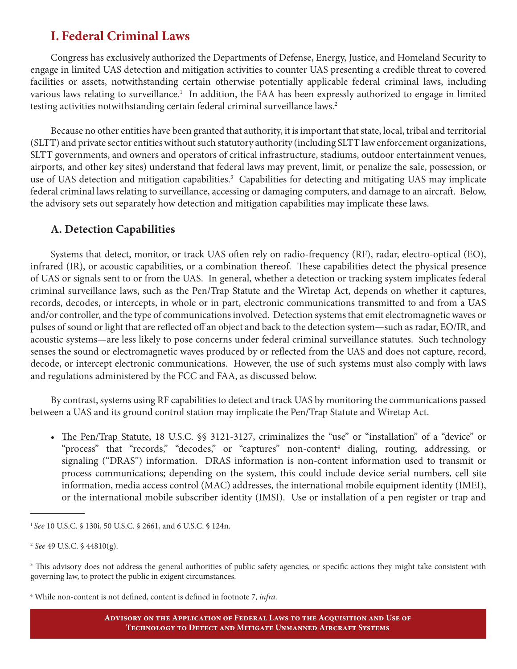## **I. Federal Criminal Laws**

Congress has exclusively authorized the Departments of Defense, Energy, Justice, and Homeland Security to engage in limited UAS detection and mitigation activities to counter UAS presenting a credible threat to covered facilities or assets, notwithstanding certain otherwise potentially applicable federal criminal laws, including various laws relating to surveillance.<sup>1</sup> In addition, the FAA has been expressly authorized to engage in limited testing activities notwithstanding certain federal criminal surveillance laws.<sup>2</sup>

Because no other entities have been granted that authority, it is important that state, local, tribal and territorial (SLTT) and private sector entities without such statutory authority (including SLTT law enforcement organizations, SLTT governments, and owners and operators of critical infrastructure, stadiums, outdoor entertainment venues, airports, and other key sites) understand that federal laws may prevent, limit, or penalize the sale, possession, or use of UAS detection and mitigation capabilities.<sup>3</sup> Capabilities for detecting and mitigating UAS may implicate federal criminal laws relating to surveillance, accessing or damaging computers, and damage to an aircraft. Below, the advisory sets out separately how detection and mitigation capabilities may implicate these laws.

#### **A. Detection Capabilities**

Systems that detect, monitor, or track UAS often rely on radio-frequency (RF), radar, electro-optical (EO), infrared (IR), or acoustic capabilities, or a combination thereof. These capabilities detect the physical presence of UAS or signals sent to or from the UAS. In general, whether a detection or tracking system implicates federal criminal surveillance laws, such as the Pen/Trap Statute and the Wiretap Act, depends on whether it captures, records, decodes, or intercepts, in whole or in part, electronic communications transmitted to and from a UAS and/or controller, and the type of communications involved. Detection systems that emit electromagnetic waves or pulses of sound or light that are reflected off an object and back to the detection system—such as radar, EO/IR, and acoustic systems—are less likely to pose concerns under federal criminal surveillance statutes. Such technology senses the sound or electromagnetic waves produced by or reflected from the UAS and does not capture, record, decode, or intercept electronic communications. However, the use of such systems must also comply with laws and regulations administered by the FCC and FAA, as discussed below.

By contrast, systems using RF capabilities to detect and track UAS by monitoring the communications passed between a UAS and its ground control station may implicate the Pen/Trap Statute and Wiretap Act.

• The Pen/Trap Statute, 18 U.S.C. §§ 3121-3127, criminalizes the "use" or "installation" of a "device" or "process" that "records," "decodes," or "captures" non-content<sup>4</sup> dialing, routing, addressing, or signaling ("DRAS") information. DRAS information is non-content information used to transmit or process communications; depending on the system, this could include device serial numbers, cell site information, media access control (MAC) addresses, the international mobile equipment identity (IMEI), or the international mobile subscriber identity (IMSI). Use or installation of a pen register or trap and

4 While non-content is not defined, content is defined in footnote 7, *infra*.

<sup>1</sup>*See* 10 U.S.C. § 130i, 50 U.S.C. § 2661, and 6 U.S.C. § 124n.

<sup>2</sup> *See* 49 U.S.C. § 44810(g).

<sup>&</sup>lt;sup>3</sup> This advisory does not address the general authorities of public safety agencies, or specific actions they might take consistent with governing law, to protect the public in exigent circumstances.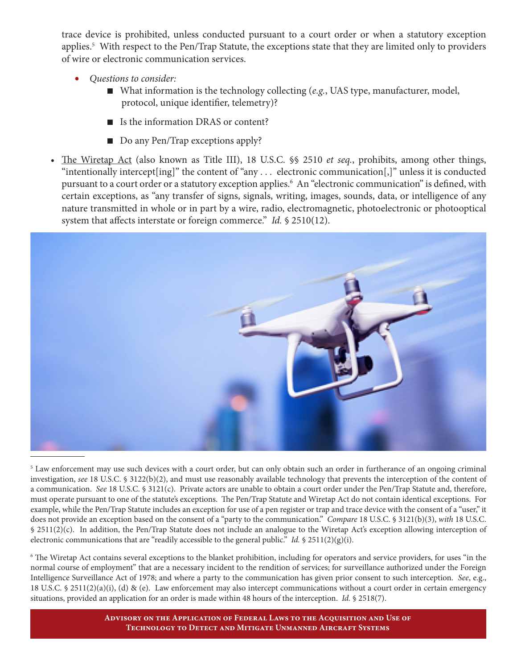trace device is prohibited, unless conducted pursuant to a court order or when a statutory exception applies.<sup>5</sup> With respect to the Pen/Trap Statute, the exceptions state that they are limited only to providers of wire or electronic communication services.

- *• Questions to consider:*
	- What information is the technology collecting (*e.g.*, UAS type, manufacturer, model, protocol, unique identifier, telemetry)?
	- Is the information DRAS or content?
	- $\Box$  Do any Pen/Trap exceptions apply?
- The Wiretap Act (also known as Title III), 18 U.S.C.  $\$  2510 *et seq.*, prohibits, among other things, "intentionally intercept[ing]" the content of "any . . . electronic communication[,]" unless it is conducted pursuant to a court order or a statutory exception applies.6 An "electronic communication" is defined, with certain exceptions, as "any transfer of signs, signals, writing, images, sounds, data, or intelligence of any nature transmitted in whole or in part by a wire, radio, electromagnetic, photoelectronic or photooptical system that affects interstate or foreign commerce." *Id.* § 2510(12).



<sup>5</sup> Law enforcement may use such devices with a court order, but can only obtain such an order in furtherance of an ongoing criminal investigation, *see* 18 U.S.C. § 3122(b)(2), and must use reasonably available technology that prevents the interception of the content of a communication. *See* 18 U.S.C. § 3121(c). Private actors are unable to obtain a court order under the Pen/Trap Statute and, therefore, must operate pursuant to one of the statute's exceptions. The Pen/Trap Statute and Wiretap Act do not contain identical exceptions. For example, while the Pen/Trap Statute includes an exception for use of a pen register or trap and trace device with the consent of a "user," it does not provide an exception based on the consent of a "party to the communication." *Compare* 18 U.S.C. § 3121(b)(3), *with* 18 U.S.C. § 2511(2)(c). In addition, the Pen/Trap Statute does not include an analogue to the Wiretap Act's exception allowing interception of electronic communications that are "readily accessible to the general public." *Id.*  $\oint$  2511(2)(g)(i).

6 The Wiretap Act contains several exceptions to the blanket prohibition, including for operators and service providers, for uses "in the normal course of employment" that are a necessary incident to the rendition of services; for surveillance authorized under the Foreign Intelligence Surveillance Act of 1978; and where a party to the communication has given prior consent to such interception. *See*, e.g., 18 U.S.C. § 2511(2)(a)(i), (d) & (e). Law enforcement may also intercept communications without a court order in certain emergency situations, provided an application for an order is made within 48 hours of the interception. *Id.* § 2518(7).

> **Advisory on the Application of Federal Laws to the Acquisition and Use of Technology to Detect and Mitigate Unmanned Aircraft Systems**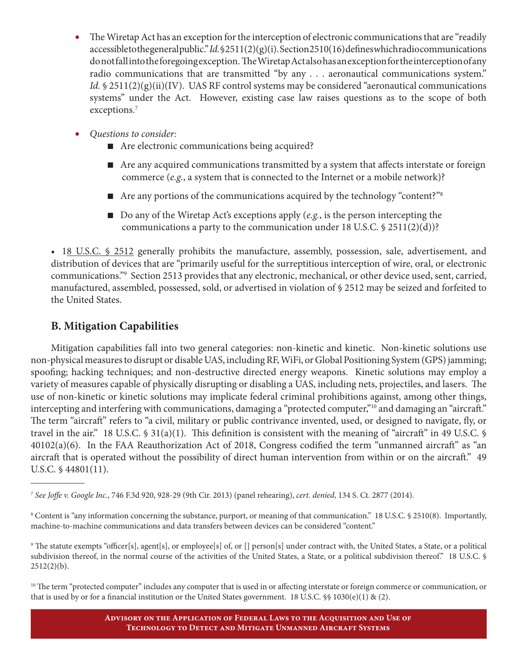- The Wiretap Act has an exception for the interception of electronic communications that are "readily" accessible to the general public." *Id.* § 2511(2)(g)(i). Section 2510(16) defines which radio communications do not fall into the foregoing exception. The Wiretap Act also has an exception for the interception of any radio communications that are transmitted "by any . . . aeronautical communications system." *Id.*  $\leq 2511(2)(g)(ii)(IV)$ . UAS RF control systems may be considered "aeronautical communications" systems" under the Act. However, existing case law raises questions as to the scope of both exceptions.<sup>7</sup>
- *• Questions to consider:*
	- Are electronic communications being acquired?
	- n Are any acquired communications transmitted by a system that affects interstate or foreign commerce (*e.g.*, a system that is connected to the Internet or a mobile network)?
	- Are any portions of the communications acquired by the technology "content?"<sup>8</sup>
	- Do any of the Wiretap Act's exceptions apply (*e.g.*, is the person intercepting the communications a party to the communication under 18 U.S.C.  $\$ 2511(2)(d)$ ?

• 18 U.S.C. § 2512 generally prohibits the manufacture, assembly, possession, sale, advertisement, and distribution of devices that are "primarily useful for the surreptitious interception of wire, oral, or electronic communications."9 Section 2513 provides that any electronic, mechanical, or other device used, sent, carried, manufactured, assembled, possessed, sold, or advertised in violation of § 2512 may be seized and forfeited to the United States.

#### **B. Mitigation Capabilities**

Mitigation capabilities fall into two general categories: non-kinetic and kinetic. Non-kinetic solutions use non-physical measures to disrupt or disable UAS, including RF, WiFi, or Global Positioning System (GPS) jamming; spoofing; hacking techniques; and non-destructive directed energy weapons. Kinetic solutions may employ a variety of measures capable of physically disrupting or disabling a UAS, including nets, projectiles, and lasers. The use of non-kinetic or kinetic solutions may implicate federal criminal prohibitions against, among other things, intercepting and interfering with communications, damaging a "protected computer,"<sup>10</sup> and damaging an "aircraft." The term "aircraft" refers to "a civil, military or public contrivance invented, used, or designed to navigate, fly, or travel in the air." 18 U.S.C.  $\frac{1}{2}$  31(a)(1). This definition is consistent with the meaning of "aircraft" in 49 U.S.C.  $\frac{1}{2}$ 40102(a)(6). In the FAA Reauthorization Act of 2018, Congress codified the term "unmanned aircraft" as "an aircraft that is operated without the possibility of direct human intervention from within or on the aircraft." 49 U.S.C. § 44801(11).

<sup>7</sup> *See Joffe v. Google Inc.*, 746 F.3d 920, 928-29 (9th Cir. 2013) (panel rehearing), *cert. denied*, 134 S. Ct. 2877 (2014).

<sup>8</sup> Content is "any information concerning the substance, purport, or meaning of that communication." 18 U.S.C. § 2510(8). Importantly, machine-to-machine communications and data transfers between devices can be considered "content."

<sup>9</sup> The statute exempts "officer[s], agent[s], or employee[s] of, or [] person[s] under contract with, the United States, a State, or a political subdivision thereof, in the normal course of the activities of the United States, a State, or a political subdivision thereof." 18 U.S.C. §  $2512(2)(b)$ .

 $^{10}$  The term "protected computer" includes any computer that is used in or affecting interstate or foreign commerce or communication, or that is used by or for a financial institution or the United States government. 18 U.S.C.  $\$  1030(e)(1) & (2).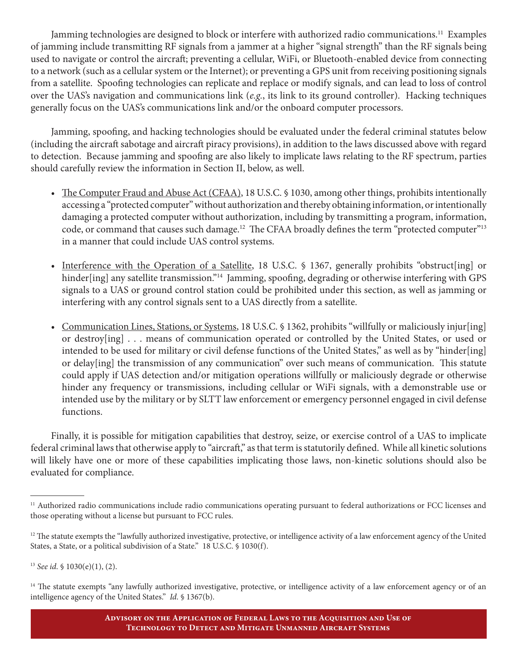Jamming technologies are designed to block or interfere with authorized radio communications.<sup>11</sup> Examples of jamming include transmitting RF signals from a jammer at a higher "signal strength" than the RF signals being used to navigate or control the aircraft; preventing a cellular, WiFi, or Bluetooth-enabled device from connecting to a network (such as a cellular system or the Internet); or preventing a GPS unit from receiving positioning signals from a satellite. Spoofing technologies can replicate and replace or modify signals, and can lead to loss of control over the UAS's navigation and communications link (*e.g.*, its link to its ground controller). Hacking techniques generally focus on the UAS's communications link and/or the onboard computer processors.

Jamming, spoofing, and hacking technologies should be evaluated under the federal criminal statutes below (including the aircraft sabotage and aircraft piracy provisions), in addition to the laws discussed above with regard to detection. Because jamming and spoofing are also likely to implicate laws relating to the RF spectrum, parties should carefully review the information in Section II, below, as well.

- The Computer Fraud and Abuse Act (CFAA), 18 U.S.C. § 1030, among other things, prohibits intentionally accessing a "protected computer" without authorization and thereby obtaining information, or intentionally damaging a protected computer without authorization, including by transmitting a program, information, code, or command that causes such damage.<sup>12</sup> The CFAA broadly defines the term "protected computer"<sup>13</sup> in a manner that could include UAS control systems.
- Interference with the Operation of a Satellite, 18 U.S.C. § 1367, generally prohibits "obstruct[ing] or hinder[ing] any satellite transmission."<sup>14</sup> Jamming, spoofing, degrading or otherwise interfering with GPS signals to a UAS or ground control station could be prohibited under this section, as well as jamming or interfering with any control signals sent to a UAS directly from a satellite.
- Communication Lines, Stations, or Systems, 18 U.S.C. § 1362, prohibits "willfully or maliciously injur[ing] or destroy[ing] . . . means of communication operated or controlled by the United States, or used or intended to be used for military or civil defense functions of the United States," as well as by "hinder[ing] or delay[ing] the transmission of any communication" over such means of communication. This statute could apply if UAS detection and/or mitigation operations willfully or maliciously degrade or otherwise hinder any frequency or transmissions, including cellular or WiFi signals, with a demonstrable use or intended use by the military or by SLTT law enforcement or emergency personnel engaged in civil defense functions.

Finally, it is possible for mitigation capabilities that destroy, seize, or exercise control of a UAS to implicate federal criminal laws that otherwise apply to "aircraft," as that term is statutorily defined. While all kinetic solutions will likely have one or more of these capabilities implicating those laws, non-kinetic solutions should also be evaluated for compliance.

<sup>&</sup>lt;sup>11</sup> Authorized radio communications include radio communications operating pursuant to federal authorizations or FCC licenses and those operating without a license but pursuant to FCC rules.

 $12$  The statute exempts the "lawfully authorized investigative, protective, or intelligence activity of a law enforcement agency of the United States, a State, or a political subdivision of a State." 18 U.S.C. § 1030(f).

<sup>13</sup> *See id*. § 1030(e)(1), (2).

<sup>&</sup>lt;sup>14</sup> The statute exempts "any lawfully authorized investigative, protective, or intelligence activity of a law enforcement agency or of an intelligence agency of the United States." *Id*. § 1367(b).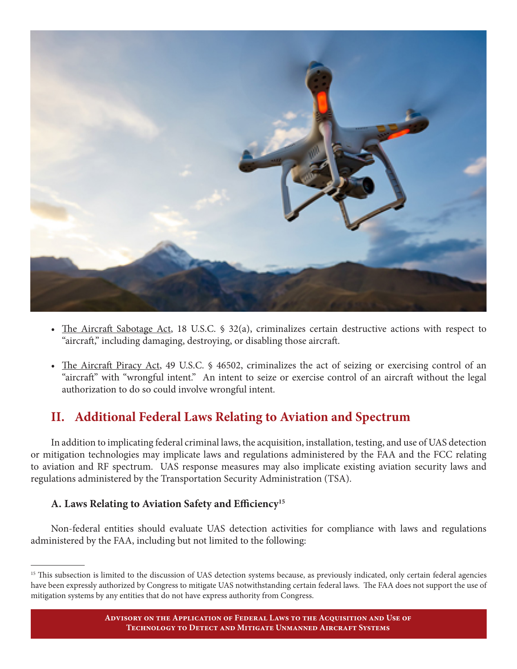

- The Aircraft Sabotage Act, 18 U.S.C. § 32(a), criminalizes certain destructive actions with respect to "aircraft," including damaging, destroying, or disabling those aircraft.
- The Aircraft Piracy Act, 49 U.S.C. § 46502, criminalizes the act of seizing or exercising control of an "aircraft" with "wrongful intent." An intent to seize or exercise control of an aircraft without the legal authorization to do so could involve wrongful intent.

## **II. Additional Federal Laws Relating to Aviation and Spectrum**

In addition to implicating federal criminal laws, the acquisition, installation, testing, and use of UAS detection or mitigation technologies may implicate laws and regulations administered by the FAA and the FCC relating to aviation and RF spectrum. UAS response measures may also implicate existing aviation security laws and regulations administered by the Transportation Security Administration (TSA).

#### **A. Laws Relating to Aviation Safety and Efficiency15**

Non-federal entities should evaluate UAS detection activities for compliance with laws and regulations administered by the FAA, including but not limited to the following:

<sup>&</sup>lt;sup>15</sup> This subsection is limited to the discussion of UAS detection systems because, as previously indicated, only certain federal agencies have been expressly authorized by Congress to mitigate UAS notwithstanding certain federal laws. The FAA does not support the use of mitigation systems by any entities that do not have express authority from Congress.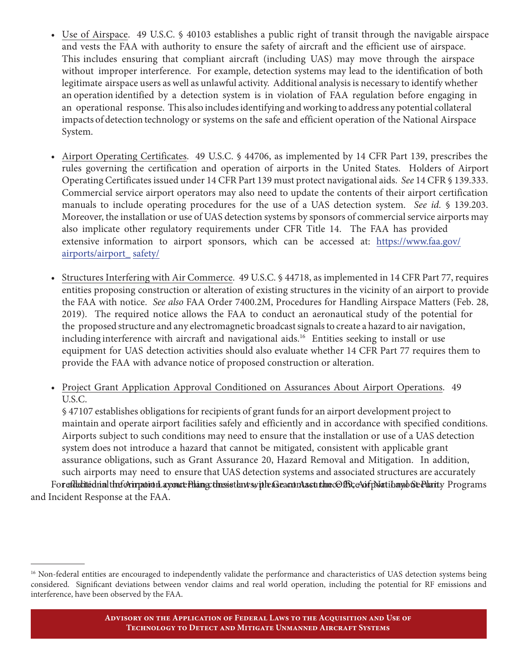- Use of Airspace. 49 U.S.C. § 40103 establishes a public right of transit through the navigable airspace and vests the FAA with authority to ensure the safety of aircraft and the efficient use of airspace. This includes ensuring that compliant aircraft (including UAS) may move through the airspace without improper interference. For example, detection systems may lead to the identification of both legitimate airspace users as well as unlawful activity. Additional analysis is necessary to identify whether an operation identified by a detection system is in violation of FAA regulation before engaging in an operational response. This also includes identifying and working to address any potential collateral impacts of detection technology or systems on the safe and efficient operation of the National Airspace System.
- Airport Operating Certificates. 49 U.S.C. § 44706, as implemented by 14 CFR Part 139, prescribes the rules governing the certification and operation of airports in the United States. Holders of Airport Operating Certificates issued under 14 CFR Part 139 must protect navigational aids. *See* 14 CFR § 139.333. Commercial service airport operators may also need to update the contents of their airport certification manuals to include operating procedures for the use of a UAS detection system. *See id.* § 139.203. Moreover, the installation or use of UAS detection systems by sponsors of commercial service airports may also implicate other regulatory requirements under CFR Title 14. The FAA has provided extensive information to airport sponsors, which can be accessed at: https://www.faa.gov/ airports/airport\_ safety/
- Structures Interfering with Air Commerce. 49 U.S.C. § 44718, as implemented in 14 CFR Part 77, requires entities proposing construction or alteration of existing structures in the vicinity of an airport to provide the FAA with notice. *See also* FAA Order 7400.2M, Procedures for Handling Airspace Matters (Feb. 28, 2019). The required notice allows the FAA to conduct an aeronautical study of the potential for the proposed structure and any electromagnetic broadcast signals to create a hazard to air navigation, including interference with aircraft and navigational aids.<sup>16</sup> Entities seeking to install or use equipment for UAS detection activities should also evaluate whether 14 CFR Part 77 requires them to provide the FAA with advance notice of proposed construction or alteration.
- Project Grant Application Approval Conditioned on Assurances About Airport Operations. 49 U.S.C.

§ 47107 establishes obligations for recipients of grant funds for an airport development project to maintain and operate airport facilities safely and efficiently and in accordance with specified conditions. Airports subject to such conditions may need to ensure that the installation or use of a UAS detection system does not introduce a hazard that cannot be mitigated, consistent with applicable grant assurance obligations, such as Grant Assurance 20, Hazard Removal and Mitigation. In addition, such airports may need to ensure that UAS detection systems and associated structures are accurately

For edikdited nultheform proton a concerning consistent symple as eacontast the COffice of position and Security Programs and Incident Response at the FAA.

<sup>&</sup>lt;sup>16</sup> Non-federal entities are encouraged to independently validate the performance and characteristics of UAS detection systems being considered. Significant deviations between vendor claims and real world operation, including the potential for RF emissions and interference, have been observed by the FAA.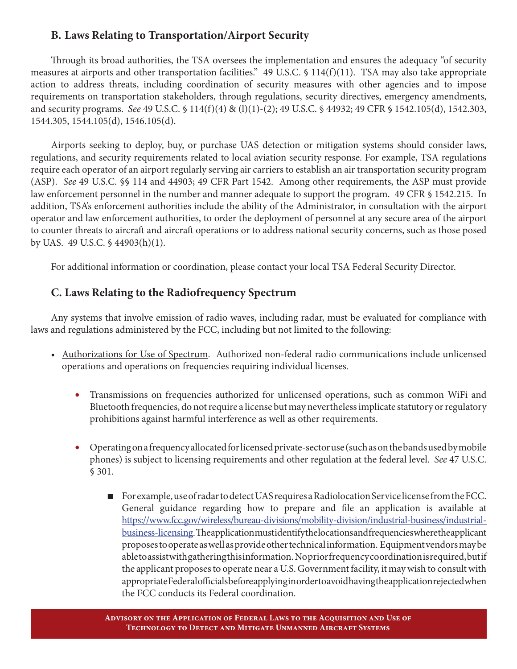### **B. Laws Relating to Transportation/Airport Security**

Through its broad authorities, the TSA oversees the implementation and ensures the adequacy "of security measures at airports and other transportation facilities." 49 U.S.C. § 114(f)(11). TSA may also take appropriate action to address threats, including coordination of security measures with other agencies and to impose requirements on transportation stakeholders, through regulations, security directives, emergency amendments, and security programs. *See* 49 U.S.C. § 114(f)(4) & (l)(1)-(2); 49 U.S.C. § 44932; 49 CFR § 1542.105(d), 1542.303, 1544.305, 1544.105(d), 1546.105(d).

Airports seeking to deploy, buy, or purchase UAS detection or mitigation systems should consider laws, regulations, and security requirements related to local aviation security response. For example, TSA regulations require each operator of an airport regularly serving air carriers to establish an air transportation security program (ASP). *See* 49 U.S.C. §§ 114 and 44903; 49 CFR Part 1542. Among other requirements, the ASP must provide law enforcement personnel in the number and manner adequate to support the program. 49 CFR § 1542.215. In addition, TSA's enforcement authorities include the ability of the Administrator, in consultation with the airport operator and law enforcement authorities, to order the deployment of personnel at any secure area of the airport to counter threats to aircraft and aircraft operations or to address national security concerns, such as those posed by UAS. 49 U.S.C. § 44903(h)(1).

For additional information or coordination, please contact your local TSA Federal Security Director.

### **C. Laws Relating to the Radiofrequency Spectrum**

Any systems that involve emission of radio waves, including radar, must be evaluated for compliance with laws and regulations administered by the FCC, including but not limited to the following:

- • Authorizations for Use of Spectrum. Authorized non-federal radio communications include unlicensed operations and operations on frequencies requiring individual licenses.
	- *•* Transmissions on frequencies authorized for unlicensed operations, such as common WiFi and Bluetooth frequencies, do not require a license but may nevertheless implicate statutory or regulatory prohibitions against harmful interference as well as other requirements.
	- *•* Operating on a frequency allocated for licensed private-sector use (such as on the bands used by mobile phones) is subject to licensing requirements and other regulation at the federal level. *See* 47 U.S.C. § 301.
		- n For example, use of radar to detect UAS requires a Radiolocation Service license from the FCC. General guidance regarding how to prepare and file an application is available at https://www.fcc.gov/wireless/bureau-divisions/mobility-division/industrial-business/industrial business-licensing. The application must identify the locations and frequencies where the applicant proposes to operate as well as provide other technical information. Equipment vendors may be able to assist with gathering this information. No prior frequency coordination is required, but if the applicant proposes to operate near a U.S. Government facility, it may wish to consult with appropriate Federal officials before applying in order to avoid having the application rejected when the FCC conducts its Federal coordination.

**Advisory on the Application of Federal Laws to the Acquisition and Use of Technology to Detect and Mitigate Unmanned Aircraft Systems**